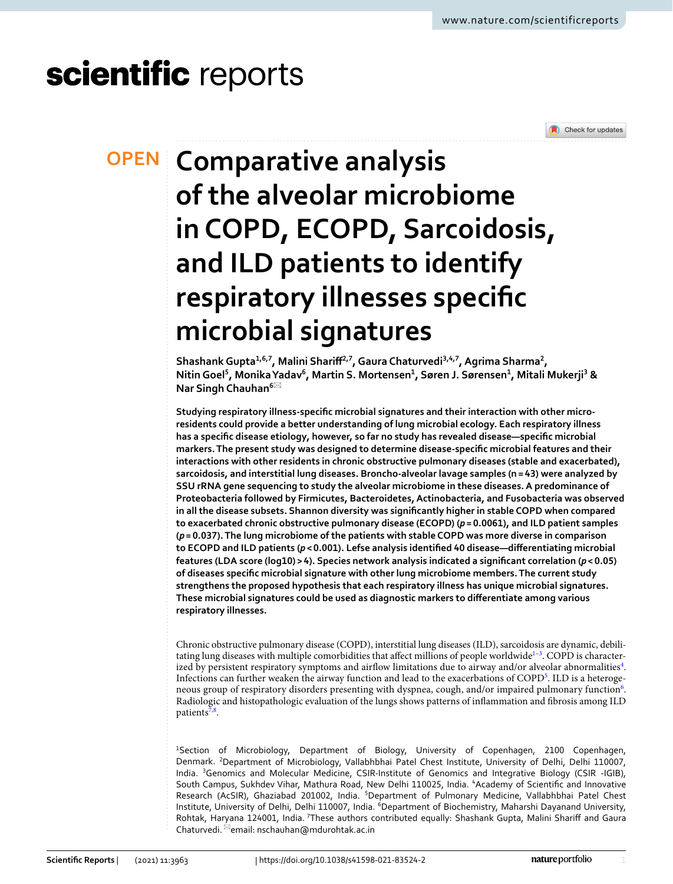# scientific reports



# **Comparative analysis OPEN of the alveolar microbiome in COPD, ECOPD, Sarcoidosis, and ILD patients to identify respiratory illnesses specific microbial signatures**

**Shashank Gupta1,6,7, Malini Shariff2,7, Gaura Chaturvedi3,4,7, Agrima Sharma<sup>2</sup> , Nitin Goel<sup>5</sup> , Monika Yadav<sup>6</sup> , Martin S. Mortensen<sup>1</sup> , Søren J. Sørensen<sup>1</sup> , Mitali Mukerji<sup>3</sup> & Nar Singh Chauhan<sup>6</sup>**\*

**Studying respiratory illness-specific microbial signatures and their interaction with other microresidents could provide a better understanding of lung microbial ecology. Each respiratory illness has a specific disease etiology, however, so far no study has revealed disease—specific microbial markers. The present study was designed to determine disease-specific microbial features and their interactions with other residents in chronic obstructive pulmonary diseases (stable and exacerbated), sarcoidosis, and interstitial lung diseases. Broncho-alveolar lavage samples (n = 43) were analyzed by SSU rRNA gene sequencing to study the alveolar microbiome in these diseases. A predominance of Proteobacteria followed by Firmicutes, Bacteroidetes, Actinobacteria, and Fusobacteria was observed in all the disease subsets. Shannon diversity was significantly higher in stable COPD when compared to exacerbated chronic obstructive pulmonary disease (ECOPD) (***p* **= 0.0061), and ILD patient samples (***p* **= 0.037). The lung microbiome of the patients with stable COPD was more diverse in comparison to ECOPD and ILD patients (***p* **< 0.001). Lefse analysis identified 40 disease—differentiating microbial features (LDA score (log10) > 4). Species network analysis indicated a significant correlation (***p* **< 0.05) of diseases specific microbial signature with other lung microbiome members. The current study strengthens the proposed hypothesis that each respiratory illness has unique microbial signatures. These microbial signatures could be used as diagnostic markers to differentiate among various respiratory illnesses.**

Chronic obstructive pulmonary disease (COPD), interstitial lung diseases (ILD), sarcoidosis are dynamic, debili-tating lung diseases with multiple comorbidities that affect millions of people worldwide<sup>[1](#page-8-0)-3</sup>. COPD is character-ized by persistent respiratory symptoms and airflow limitations due to airway and/or alveolar abnormalities<sup>[4](#page-8-2)</sup>. Infections can further weaken the airway function and lead to the exacerbations of COPD[5](#page-8-3) . ILD is a heteroge-neous group of respiratory disorders presenting with dyspnea, cough, and/or impaired pulmonary function<sup>[6](#page-8-4)</sup>. Radiologic and histopathologic evaluation of the lungs shows patterns of inflammation and fibrosis among ILD patients<sup>[7](#page-8-5),[8](#page-8-6)</sup>.

<sup>1</sup>Section of Microbiology, Department of Biology, University of Copenhagen, 2100 Copenhagen, Denmark. <sup>2</sup>Department of Microbiology, Vallabhbhai Patel Chest Institute, University of Delhi, Delhi 110007, India. <sup>3</sup>Genomics and Molecular Medicine, CSIR-Institute of Genomics and Integrative Biology (CSIR -IGIB), South Campus, Sukhdev Vihar, Mathura Road, New Delhi 110025, India. <sup>4</sup>Academy of Scientific and Innovative Research (AcSIR), Ghaziabad 201002, India. <sup>5</sup>Department of Pulmonary Medicine, Vallabhbhai Patel Chest Institute, University of Delhi, Delhi 110007, India. <sup>6</sup>Department of Biochemistry, Maharshi Dayanand University, Rohtak, Haryana 124001, India. 7These authors contributed equally: Shashank Gupta, Malini Shariff and Gaura Chaturvedi. \*email: nschauhan@mdurohtak.ac.in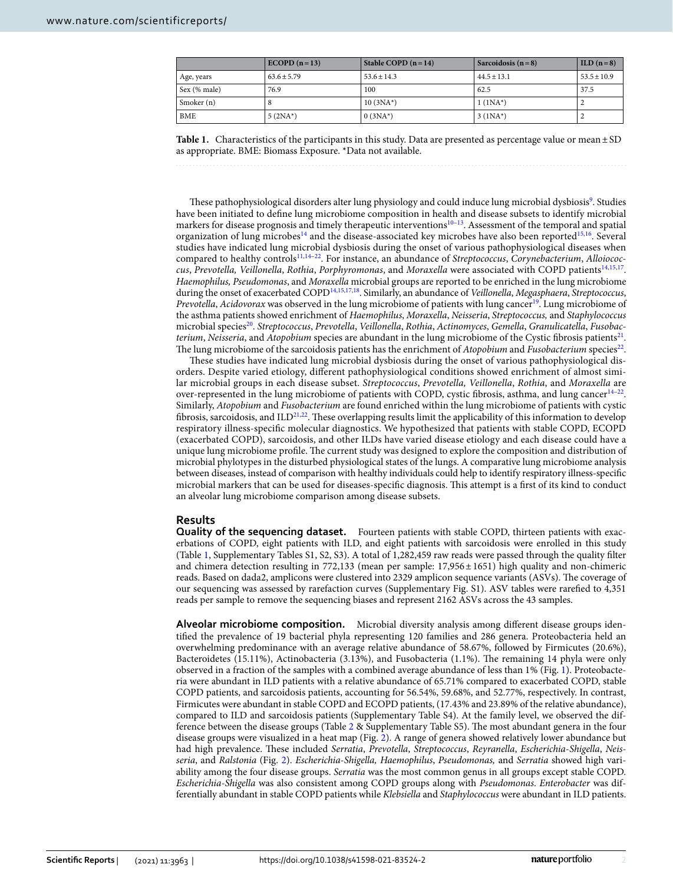|              | $ECODE (n=13)$  | Stable COPD $(n=14)$ | Sarcoidosis $(n=8)$ | $\text{ILD}$ (n = 8) |
|--------------|-----------------|----------------------|---------------------|----------------------|
| Age, years   | $63.6 \pm 5.79$ | $53.6 \pm 14.3$      | $44.5 \pm 13.1$     | $53.5 \pm 10.9$      |
| Sex (% male) | 76.9            | 100                  | 62.5                | 37.5                 |
| Smoker (n)   |                 | $10(3NA^*)$          | $1(1NA^*)$          |                      |
| BME          | $5(2NA^*)$      | $0(3NA^{*})$         | $3 (1NA^*)$         |                      |

<span id="page-1-0"></span>**Table 1.** Characteristics of the participants in this study. Data are presented as percentage value or mean ± SD as appropriate. BME: Biomass Exposure. \*Data not available.

These pathophysiological disorders alter lung physiology and could induce lung microbial dysbiosis<sup>[9](#page-8-7)</sup>. Studies have been initiated to define lung microbiome composition in health and disease subsets to identify microbial markers for disease prognosis and timely therapeutic interventions<sup>10-[13](#page-8-9)</sup>. Assessment of the temporal and spatial organization of lung microbes<sup>[14](#page-8-10)</sup> and the disease-associated key microbes have also been reported<sup>[15](#page-8-11),[16](#page-8-12)</sup>. Several studies have indicated lung microbial dysbiosis during the onset of various pathophysiological diseases when compared to healthy controls<sup>[11](#page-8-13),[14](#page-8-10)-22</sup>. For instance, an abundance of Streptococcus, Corynebacterium, Alloiococ-cus, Prevotella, Veillonella, Rothia, Porphyromonas, and Moraxella were associated with COPD patients<sup>[14](#page-8-10)[,15](#page-8-11)[,17](#page-8-15)</sup>. Haemophilus, Pseudomonas, and Moraxella microbial groups are reported to be enriched in the lung microbiome during the onset of exacerbated COPD<sup>[14,](#page-8-10)[15](#page-8-11),[17](#page-8-15),[18](#page-8-16)</sup>. Similarly, an abundance of Veillonella, Megasphaera, Streptococcus, Prevotella, Acidovorax was observed in the lung microbiome of patients with lung cancer[19](#page-8-17). Lung microbiome of the asthma patients showed enrichment of Haemophilus, Moraxella, Neisseria, Streptococcus, and Staphylococcus microbial species<sup>[20](#page-8-18)</sup>. Streptococcus, Prevotella, Veillonella, Rothia, Actinomyces, Gemella, Granulicatella, Fusobac*terium, Neisseria,* and Atopobium species are abundant in the lung microbiome of the Cystic fibrosis patients $^{21}$  $^{21}$  $^{21}$ . The lung microbiome of the sarcoidosis patients has the enrichment of  $Atopobium$  and  $Fusobacterium$  species<sup>[22](#page-8-14)</sup>.

These studies have indicated lung microbial dysbiosis during the onset of various pathophysiological disorders. Despite varied etiology, different pathophysiological conditions showed enrichment of almost similar microbial groups in each disease subset. Streptococcus, Prevotella, Veillonella, Rothia, and Moraxella are over-represented in the lung microbiome of patients with COPD, cystic fibrosis, asthma, and lung cancer<sup>[14](#page-8-10)-22</sup>. Similarly, Atopobium and Fusobacterium are found enriched within the lung microbiome of patients with cystic fibrosis, sarcoidosis, and  $ILD^{21,22}$  $ILD^{21,22}$  $ILD^{21,22}$  $ILD^{21,22}$  $ILD^{21,22}$ . These overlapping results limit the applicability of this information to develop respiratory illness-specific molecular diagnostics. We hypothesized that patients with stable COPD, ECOPD (exacerbated COPD), sarcoidosis, and other ILDs have varied disease etiology and each disease could have a unique lung microbiome profile. The current study was designed to explore the composition and distribution of microbial phylotypes in the disturbed physiological states of the lungs. A comparative lung microbiome analysis between diseases, instead of comparison with healthy individuals could help to identify respiratory illness-specific microbial markers that can be used for diseases-specific diagnosis. This attempt is a first of its kind to conduct an alveolar lung microbiome comparison among disease subsets.

# **Results**

**Quality of the sequencing dataset.** Fourteen patients with stable COPD, thirteen patients with exacerbations of COPD, eight patients with ILD, and eight patients with sarcoidosis were enrolled in this study (Table [1,](#page-1-0) Supplementary Tables S1, S2, S3). A total of 1,282,459 raw reads were passed through the quality filter and chimera detection resulting in 772,133 (mean per sample: 17,956 ± 1651) high quality and non-chimeric reads. Based on dada2, amplicons were clustered into 2329 amplicon sequence variants (ASVs). The coverage of our sequencing was assessed by rarefaction curves (Supplementary Fig. S1). ASV tables were rarefied to 4,351 reads per sample to remove the sequencing biases and represent 2162 ASVs across the 43 samples.

**Alveolar microbiome composition.** Microbial diversity analysis among different disease groups identified the prevalence of 19 bacterial phyla representing 120 families and 286 genera. Proteobacteria held an overwhelming predominance with an average relative abundance of 58.67%, followed by Firmicutes (20.6%), Bacteroidetes (15.11%), Actinobacteria (3.13%), and Fusobacteria (1.1%). The remaining 14 phyla were only observed in a fraction of the samples with a combined average abundance of less than 1% (Fig. [1\)](#page-2-0). Proteobacteria were abundant in ILD patients with a relative abundance of 65.71% compared to exacerbated COPD, stable COPD patients, and sarcoidosis patients, accounting for 56.54%, 59.68%, and 52.77%, respectively. In contrast, Firmicutes were abundant in stable COPD and ECOPD patients, (17.43% and 23.89% of the relative abundance), compared to ILD and sarcoidosis patients (Supplementary Table S4). At the family level, we observed the difference between the disease groups (Table [2](#page-2-1) & Supplementary Table S5). The most abundant genera in the four disease groups were visualized in a heat map (Fig. [2](#page-3-0)). A range of genera showed relatively lower abundance but had high prevalence. These included Serratia, Prevotella, Streptococcus, Reyranella, Escherichia-Shigella, Neisseria, and Ralstonia (Fig. [2](#page-3-0)). Escherichia-Shigella, Haemophilus, Pseudomonas, and Serratia showed high variability among the four disease groups. Serratia was the most common genus in all groups except stable COPD. Escherichia-Shigella was also consistent among COPD groups along with Pseudomonas. Enterobacter was differentially abundant in stable COPD patients while Klebsiella and Staphylococcus were abundant in ILD patients.

2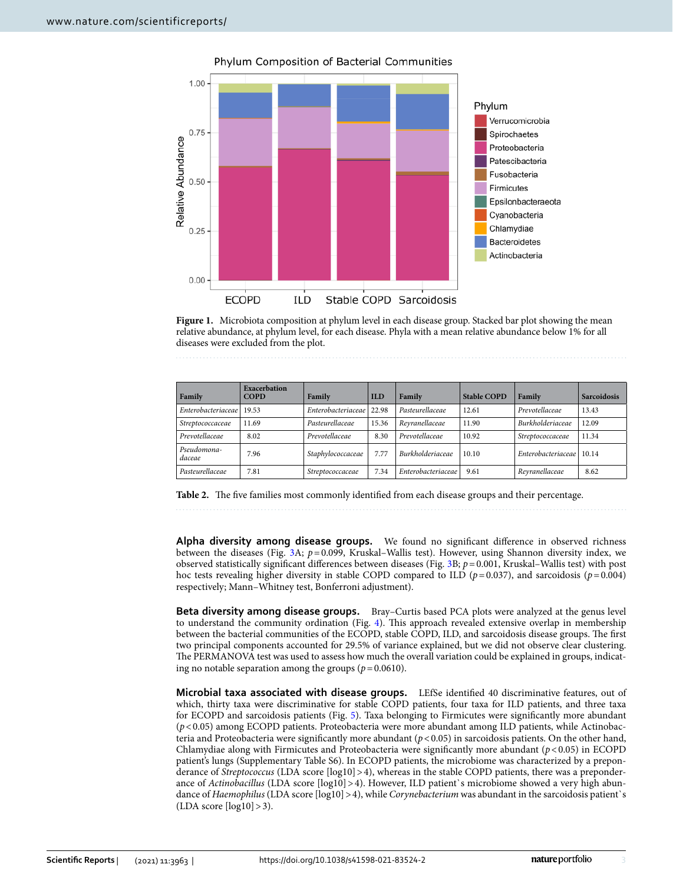

Phylum Composition of Bacterial Communities

<span id="page-2-0"></span>**Figure 1.** Microbiota composition at phylum level in each disease group. Stacked bar plot showing the mean relative abundance, at phylum level, for each disease. Phyla with a mean relative abundance below 1% for all diseases were excluded from the plot.

| Family                | <b>Exacerbation</b><br><b>COPD</b> | Family             | <b>ILD</b> | Family                  | <b>Stable COPD</b> | Family                     | <b>Sarcoidosis</b> |
|-----------------------|------------------------------------|--------------------|------------|-------------------------|--------------------|----------------------------|--------------------|
| Enterobacteriaceae    | 19.53                              | Enterobacteriaceae | 22.98      | Pasteurellaceae         | 12.61              | Prevotellaceae             | 13.43              |
| Streptococcaceae      | 11.69                              | Pasteurellaceae    | 15.36      | Reyranellaceae          | 11.90              | <b>Burkholderiaceae</b>    | 12.09              |
| Prevotellaceae        | 8.02                               | Prevotellaceae     | 8.30       | Prevotellaceae          | 10.92              | Streptococcaceae           | 11.34              |
| Pseudomona-<br>daceae | 7.96                               | Staphylococcaceae  | 7.77       | <b>Burkholderiaceae</b> | 10.10              | Enterobacteriaceae   10.14 |                    |
| Pasteurellaceae       | 7.81                               | Streptococcaceae   | 7.34       | Enterobacteriaceae      | 9.61               | Reyranellaceae             | 8.62               |

<span id="page-2-1"></span>**Table 2.** The five families most commonly identified from each disease groups and their percentage.

**Alpha diversity among disease groups.** We found no significant difference in observed richness between the diseases (Fig.  $3A$ ;  $p = 0.099$ , Kruskal–Wallis test). However, using Shannon diversity index, we observed statistically significant differences between diseases (Fig. [3](#page-3-1)B;  $p = 0.001$ , Kruskal–Wallis test) with post hoc tests revealing higher diversity in stable COPD compared to ILD ( $p = 0.037$ ), and sarcoidosis ( $p = 0.004$ ) respectively; Mann–Whitney test, Bonferroni adjustment).

**Beta diversity among disease groups.** Bray–Curtis based PCA plots were analyzed at the genus level to understand the community ordination (Fig. [4\)](#page-4-0). This approach revealed extensive overlap in membership between the bacterial communities of the ECOPD, stable COPD, ILD, and sarcoidosis disease groups. The first two principal components accounted for 29.5% of variance explained, but we did not observe clear clustering. The PERMANOVA test was used to assess how much the overall variation could be explained in groups, indicating no notable separation among the groups ( $p = 0.0610$ ).

**Microbial taxa associated with disease groups.** LEfSe identified 40 discriminative features, out of which, thirty taxa were discriminative for stable COPD patients, four taxa for ILD patients, and three taxa for ECOPD and sarcoidosis patients (Fig. [5\)](#page-4-1). Taxa belonging to Firmicutes were significantly more abundant  $(p<0.05)$  among ECOPD patients. Proteobacteria were more abundant among ILD patients, while Actinobacteria and Proteobacteria were significantly more abundant (p < 0.05) in sarcoidosis patients. On the other hand, Chlamydiae along with Firmicutes and Proteobacteria were significantly more abundant  $(p < 0.05)$  in ECOPD patient's lungs (Supplementary Table S6). In ECOPD patients, the microbiome was characterized by a preponderance of Streptococcus (LDA score [log10] > 4), whereas in the stable COPD patients, there was a preponderance of Actinobacillus (LDA score  $\lceil \log 10 \rceil > 4$ ). However, ILD patient's microbiome showed a very high abundance of Haemophilus (LDA score [log10] > 4), while Corynebacterium was abundant in the sarcoidosis patient's  $(LDA score [log10] > 3)$ .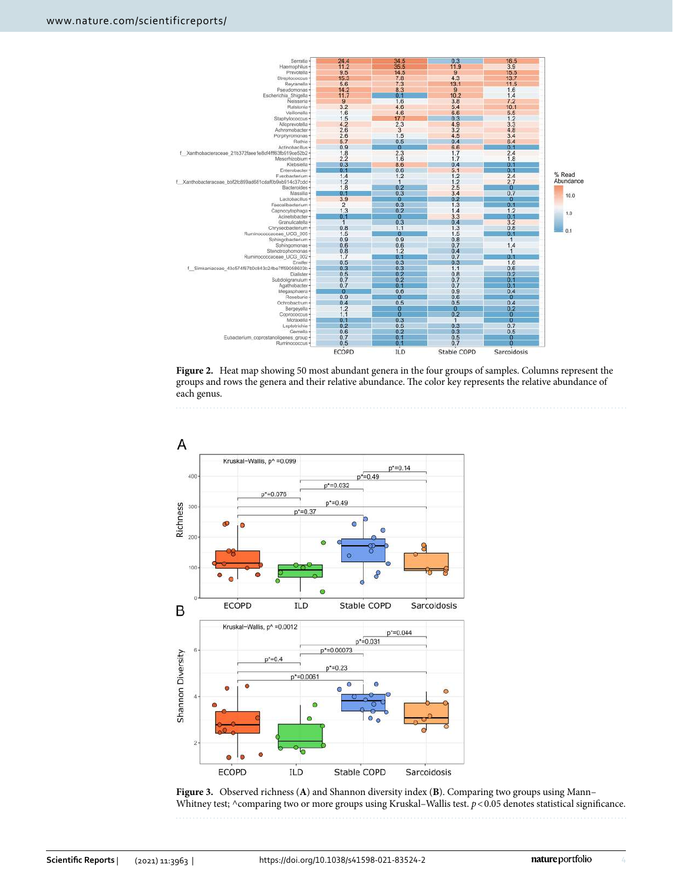

<span id="page-3-0"></span>**Figure 2.** Heat map showing 50 most abundant genera in the four groups of samples. Columns represent the groups and rows the genera and their relative abundance. The color key represents the relative abundance of each genus.



<span id="page-3-1"></span>**Figure 3.** Observed richness (**A**) and Shannon diversity index (**B**). Comparing two groups using Mann– Whitney test; ^comparing two or more groups using Kruskal–Wallis test. p < 0.05 denotes statistical significance.

4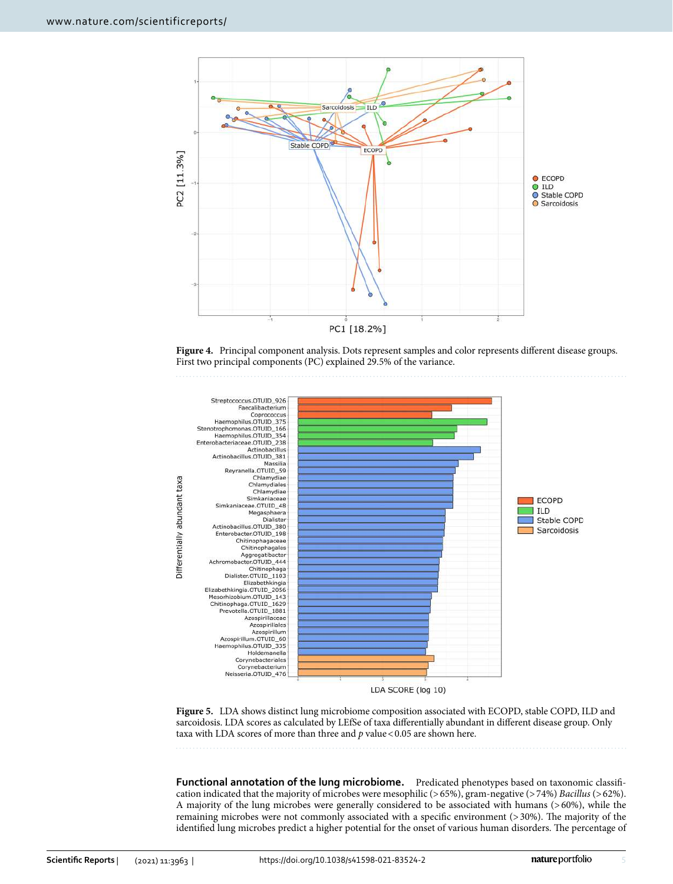

<span id="page-4-0"></span>**Figure 4.** Principal component analysis. Dots represent samples and color represents different disease groups. First two principal components (PC) explained 29.5% of the variance.



<span id="page-4-1"></span>**Figure 5.** LDA shows distinct lung microbiome composition associated with ECOPD, stable COPD, ILD and sarcoidosis. LDA scores as calculated by LEfSe of taxa differentially abundant in different disease group. Only taxa with LDA scores of more than three and  $p$  value < 0.05 are shown here.

**Functional annotation of the lung microbiome.** Predicated phenotypes based on taxonomic classification indicated that the majority of microbes were mesophilic (> 65%), gram-negative (> 74%) Bacillus (> 62%). A majority of the lung microbes were generally considered to be associated with humans (> 60%), while the remaining microbes were not commonly associated with a specific environment (> 30%). The majority of the identified lung microbes predict a higher potential for the onset of various human disorders. The percentage of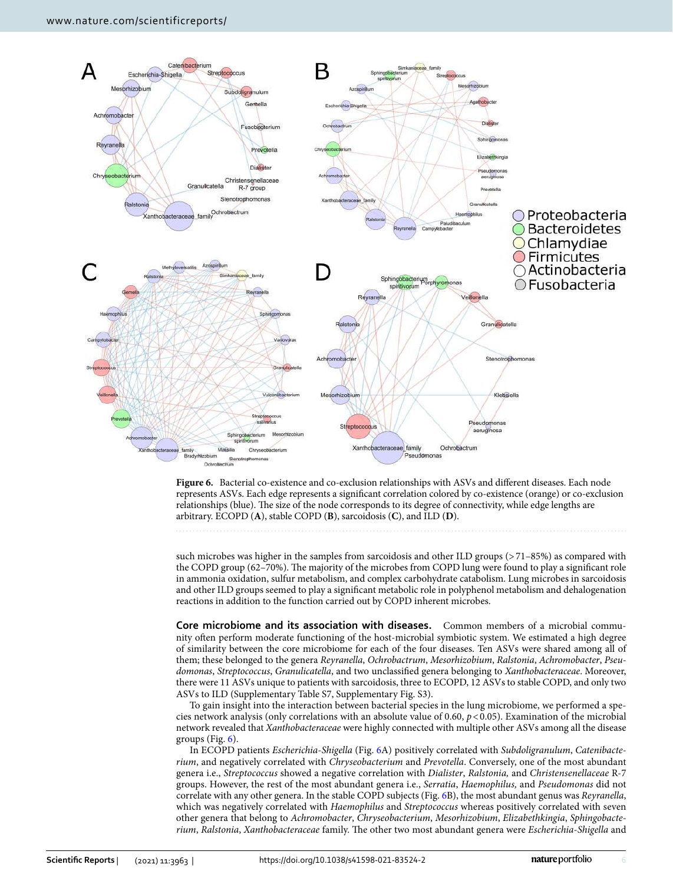

<span id="page-5-0"></span>**Figure 6.** Bacterial co-existence and co-exclusion relationships with ASVs and different diseases. Each node represents ASVs. Each edge represents a significant correlation colored by co-existence (orange) or co-exclusion relationships (blue). The size of the node corresponds to its degree of connectivity, while edge lengths are arbitrary. ECOPD (**A**), stable COPD (**B**), sarcoidosis (**C**), and ILD (**D**).

such microbes was higher in the samples from sarcoidosis and other ILD groups (>71–85%) as compared with the COPD group (62–70%). The majority of the microbes from COPD lung were found to play a significant role in ammonia oxidation, sulfur metabolism, and complex carbohydrate catabolism. Lung microbes in sarcoidosis and other ILD groups seemed to play a significant metabolic role in polyphenol metabolism and dehalogenation reactions in addition to the function carried out by COPD inherent microbes.

**Core microbiome and its association with diseases.** Common members of a microbial community often perform moderate functioning of the host-microbial symbiotic system. We estimated a high degree of similarity between the core microbiome for each of the four diseases. Ten ASVs were shared among all of them; these belonged to the genera Reyranella, Ochrobactrum, Mesorhizobium, Ralstonia, Achromobacter, Pseudomonas, Streptococcus, Granulicatella, and two unclassified genera belonging to Xanthobacteraceae. Moreover, there were 11 ASVs unique to patients with sarcoidosis, three to ECOPD, 12 ASVs to stable COPD, and only two ASVs to ILD (Supplementary Table S7, Supplementary Fig. S3).

To gain insight into the interaction between bacterial species in the lung microbiome, we performed a species network analysis (only correlations with an absolute value of 0.60,  $p < 0.05$ ). Examination of the microbial network revealed that Xanthobacteraceae were highly connected with multiple other ASVs among all the disease groups (Fig.  $6$ ).

In ECOPD patients Escherichia-Shigella (Fig. [6A](#page-5-0)) positively correlated with Subdoligranulum, Catenibacterium, and negatively correlated with Chryseobacterium and Prevotella. Conversely, one of the most abundant genera i.e., Streptococcus showed a negative correlation with Dialister, Ralstonia, and Christensenellaceae R-7 groups. However, the rest of the most abundant genera i.e., Serratia, Haemophilus, and Pseudomonas did not correlate with any other genera. In the stable COPD subjects (Fig. [6](#page-5-0)B), the most abundant genus was Reyranella, which was negatively correlated with Haemophilus and Streptococcus whereas positively correlated with seven other genera that belong to Achromobacter, Chryseobacterium, Mesorhizobium, Elizabethkingia, Sphingobacterium, Ralstonia, Xanthobacteraceae family. The other two most abundant genera were Escherichia-Shigella and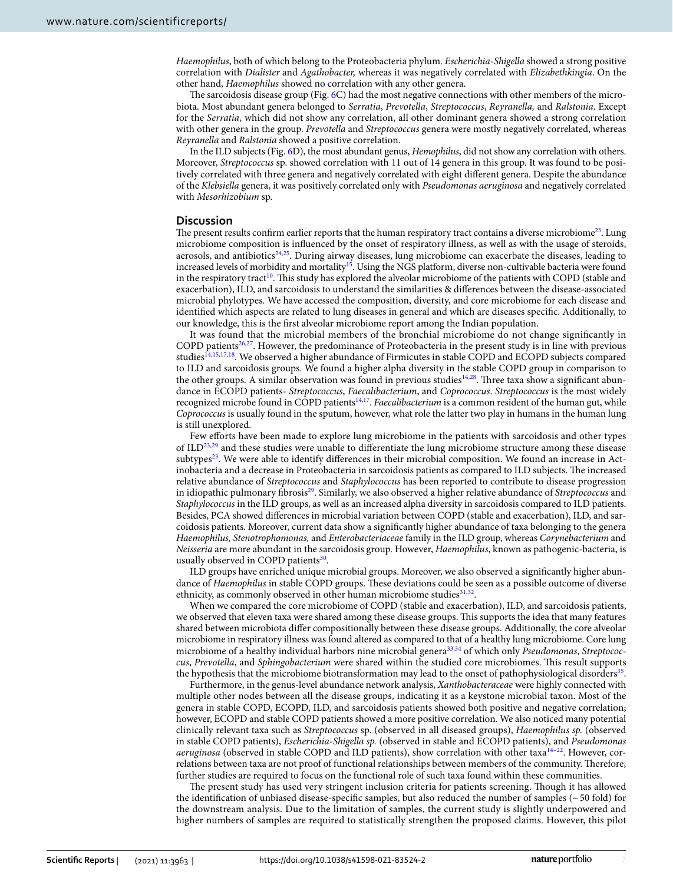Haemophilus, both of which belong to the Proteobacteria phylum. Escherichia-Shigella showed a strong positive correlation with Dialister and Agathobacter, whereas it was negatively correlated with Elizabethkingia. On the other hand, Haemophilus showed no correlation with any other genera.

The sarcoidosis disease group (Fig. [6](#page-5-0)C) had the most negative connections with other members of the microbiota. Most abundant genera belonged to Serratia, Prevotella, Streptococcus, Reyranella, and Ralstonia. Except for the Serratia, which did not show any correlation, all other dominant genera showed a strong correlation with other genera in the group. Prevotella and Streptococcus genera were mostly negatively correlated, whereas Reyranella and Ralstonia showed a positive correlation.

In the ILD subjects (Fig. [6D](#page-5-0)), the most abundant genus, Hemophilus, did not show any correlation with others. Moreover, Streptococcus sp. showed correlation with 11 out of 14 genera in this group. It was found to be positively correlated with three genera and negatively correlated with eight different genera. Despite the abundance of the Klebsiella genera, it was positively correlated only with Pseudomonas aeruginosa and negatively correlated with Mesorhizobium sp.

# **Discussion**

The present results confirm earlier reports that the human respiratory tract contains a diverse microbiome<sup>[23](#page-8-20)</sup>. Lung microbiome composition is influenced by the onset of respiratory illness, as well as with the usage of steroids, aerosols, and antibiotics<sup>[24](#page-9-0),[25](#page-9-1)</sup>. During airway diseases, lung microbiome can exacerbate the diseases, leading to increased levels of morbidity and mortality<sup>[15](#page-8-11)</sup>. Using the NGS platform, diverse non-cultivable bacteria were found in the respiratory tract<sup>[10](#page-8-8)</sup>. This study has explored the alveolar microbiome of the patients with COPD (stable and exacerbation), ILD, and sarcoidosis to understand the similarities & differences between the disease-associated microbial phylotypes. We have accessed the composition, diversity, and core microbiome for each disease and identified which aspects are related to lung diseases in general and which are diseases specific. Additionally, to our knowledge, this is the first alveolar microbiome report among the Indian population.

It was found that the microbial members of the bronchial microbiome do not change significantly in COPD patients<sup>[26](#page-9-2)[,27](#page-9-3)</sup>. However, the predominance of Proteobacteria in the present study is in line with previous studies<sup>[14,](#page-8-10)[15,](#page-8-11)[17,](#page-8-15)[18](#page-8-16)</sup>. We observed a higher abundance of Firmicutes in stable COPD and ECOPD subjects compared to ILD and sarcoidosis groups. We found a higher alpha diversity in the stable COPD group in comparison to the other groups. A similar observation was found in previous studies<sup>[14](#page-8-10),[28](#page-9-4)</sup>. Three taxa show a significant abundance in ECOPD patients- Streptococcus, Faecalibacterium, and Coprococcus. Streptococcus is the most widely recognized microbe found in COPD patients<sup>[14](#page-8-10),[17](#page-8-15)</sup>. Faecalibacterium is a common resident of the human gut, while Coprococcus is usually found in the sputum, however, what role the latter two play in humans in the human lung is still unexplored.

Few efforts have been made to explore lung microbiome in the patients with sarcoidosis and other types of ILD<sup>[23](#page-8-20)[,29](#page-9-5)</sup> and these studies were unable to differentiate the lung microbiome structure among these disease subtypes<sup>[23](#page-8-20)</sup>. We were able to identify differences in their microbial composition. We found an increase in Actinobacteria and a decrease in Proteobacteria in sarcoidosis patients as compared to ILD subjects. The increased relative abundance of Streptococcus and Staphylococcus has been reported to contribute to disease progression in idiopathic pulmonary fibrosis<sup>[29](#page-9-5)</sup>. Similarly, we also observed a higher relative abundance of Streptococcus and Staphylococcus in the ILD groups, as well as an increased alpha diversity in sarcoidosis compared to ILD patients. Besides, PCA showed differences in microbial variation between COPD (stable and exacerbation), ILD, and sarcoidosis patients. Moreover, current data show a significantly higher abundance of taxa belonging to the genera Haemophilus, Stenotrophomonas, and Enterobacteriaceae family in the ILD group, whereas Corynebacterium and Neisseria are more abundant in the sarcoidosis group. However, Haemophilus, known as pathogenic-bacteria, is usually observed in COPD patients<sup>[30](#page-9-6)</sup>.

ILD groups have enriched unique microbial groups. Moreover, we also observed a significantly higher abundance of Haemophilus in stable COPD groups. These deviations could be seen as a possible outcome of diverse ethnicity, as commonly observed in other human microbiome studies<sup>[31,](#page-9-7)[32](#page-9-8)</sup>.

When we compared the core microbiome of COPD (stable and exacerbation), ILD, and sarcoidosis patients, we observed that eleven taxa were shared among these disease groups. This supports the idea that many features shared between microbiota differ compositionally between these disease groups. Additionally, the core alveolar microbiome in respiratory illness was found altered as compared to that of a healthy lung microbiome. Core lung microbiome of a healthy individual harbors nine microbial genera<sup>[33](#page-9-9),[34](#page-9-10)</sup> of which only Pseudomonas, Streptococcus, Prevotella, and Sphingobacterium were shared within the studied core microbiomes. This result supports the hypothesis that the microbiome biotransformation may lead to the onset of pathophysiological disorders<sup>[35](#page-9-11)</sup>.

Furthermore, in the genus-level abundance network analysis, Xanthobacteraceae were highly connected with multiple other nodes between all the disease groups, indicating it as a keystone microbial taxon. Most of the genera in stable COPD, ECOPD, ILD, and sarcoidosis patients showed both positive and negative correlation; however, ECOPD and stable COPD patients showed a more positive correlation. We also noticed many potential clinically relevant taxa such as Streptococcus sp. (observed in all diseased groups), Haemophilus sp. (observed in stable COPD patients), Escherichia-Shigella sp. (observed in stable and ECOPD patients), and Pseudomonas aeruginosa (observed in stable COPD and ILD patients), show correlation with other taxa<sup>14-[22](#page-8-14)</sup>. However, correlations between taxa are not proof of functional relationships between members of the community. Therefore, further studies are required to focus on the functional role of such taxa found within these communities.

The present study has used very stringent inclusion criteria for patients screening. Though it has allowed the identification of unbiased disease-specific samples, but also reduced the number of samples (~ 50 fold) for the downstream analysis. Due to the limitation of samples, the current study is slightly underpowered and higher numbers of samples are required to statistically strengthen the proposed claims. However, this pilot

7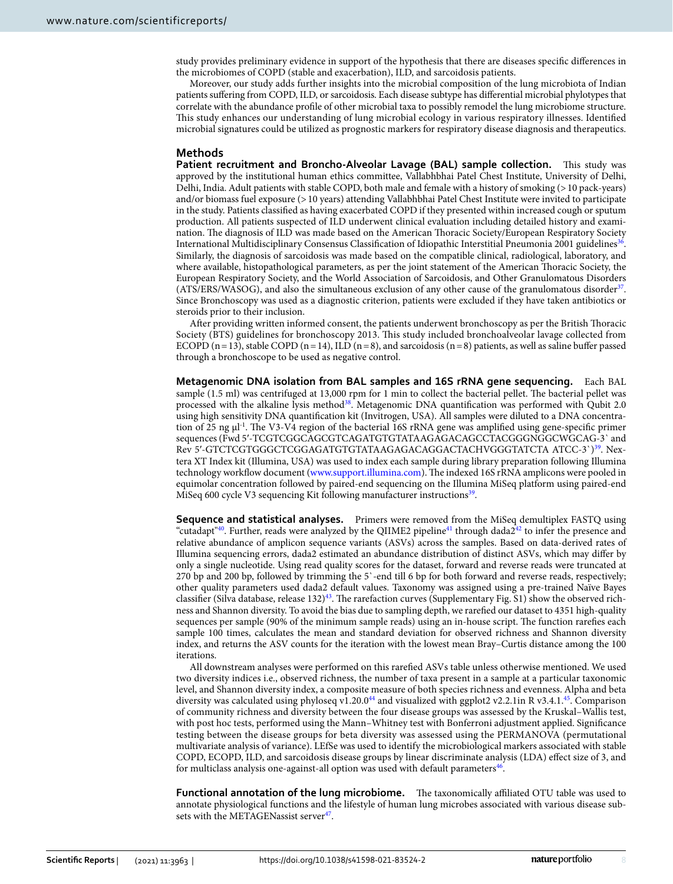study provides preliminary evidence in support of the hypothesis that there are diseases specific differences in the microbiomes of COPD (stable and exacerbation), ILD, and sarcoidosis patients.

Moreover, our study adds further insights into the microbial composition of the lung microbiota of Indian patients suffering from COPD, ILD, or sarcoidosis. Each disease subtype has differential microbial phylotypes that correlate with the abundance profile of other microbial taxa to possibly remodel the lung microbiome structure. This study enhances our understanding of lung microbial ecology in various respiratory illnesses. Identified microbial signatures could be utilized as prognostic markers for respiratory disease diagnosis and therapeutics.

### **Methods**

**Patient recruitment and Broncho-Alveolar Lavage (BAL) sample collection.** This study was approved by the institutional human ethics committee, Vallabhbhai Patel Chest Institute, University of Delhi, Delhi, India. Adult patients with stable COPD, both male and female with a history of smoking (> 10 pack-years) and/or biomass fuel exposure (> 10 years) attending Vallabhbhai Patel Chest Institute were invited to participate in the study. Patients classified as having exacerbated COPD if they presented within increased cough or sputum production. All patients suspected of ILD underwent clinical evaluation including detailed history and examination. The diagnosis of ILD was made based on the American Thoracic Society/European Respiratory Society International Multidisciplinary Consensus Classification of Idiopathic Interstitial Pneumonia 2001 guidelines<sup>[36](#page-9-12)</sup>. Similarly, the diagnosis of sarcoidosis was made based on the compatible clinical, radiological, laboratory, and where available, histopathological parameters, as per the joint statement of the American Thoracic Society, the European Respiratory Society, and the World Association of Sarcoidosis, and Other Granulomatous Disorders  $(ATS/ERS/WASOG)$ , and also the simultaneous exclusion of any other cause of the granulomatous disorder $37$ . Since Bronchoscopy was used as a diagnostic criterion, patients were excluded if they have taken antibiotics or steroids prior to their inclusion.

After providing written informed consent, the patients underwent bronchoscopy as per the British Thoracic Society (BTS) guidelines for bronchoscopy 2013. This study included bronchoalveolar lavage collected from ECOPD  $(n=13)$ , stable COPD  $(n=14)$ , ILD  $(n=8)$ , and sarcoidosis  $(n=8)$  patients, as well as saline buffer passed through a bronchoscope to be used as negative control.

**Metagenomic DNA isolation from BAL samples and 16S rRNA gene sequencing.** Each BAL sample (1.5 ml) was centrifuged at 13,000 rpm for 1 min to collect the bacterial pellet. The bacterial pellet was processed with the alkaline lysis method<sup>[38](#page-9-14)</sup>. Metagenomic DNA quantification was performed with Qubit 2.0 using high sensitivity DNA quantification kit (Invitrogen, USA). All samples were diluted to a DNA concentration of 25 ng μl<sup>-1</sup>. The V3-V4 region of the bacterial 16S rRNA gene was amplified using gene-specific primer sequences (Fwd 5'-TCGTCGGCAGCGTCAGATGTGTATAAGAGACAGCCTACGGGNGGCWGCAG-3' and Rev 5'-GTCTCGTGGGCTCGGAGATGTGTATAAGAGACAGGACTACHVGGGTATCTA ATCC-3`)<sup>[39](#page-9-15)</sup>. Nextera XT Index kit (Illumina, USA) was used to index each sample during library preparation following Illumina technology workflow document (www.support.illumina.com). The indexed 16S rRNA amplicons were pooled in equimolar concentration followed by paired-end sequencing on the Illumina MiSeq platform using paired-end MiSeq 600 cycle V3 sequencing Kit following manufacturer instructions<sup>[39](#page-9-15)</sup>.

**Sequence and statistical analyses.** Primers were removed from the MiSeq demultiplex FASTQ using "cutadapt"<sup>[40](#page-9-16)</sup>. Further, reads were analyzed by the QIIME2 pipeline<sup>[41](#page-9-17)</sup> through dada2<sup>[42](#page-9-18)</sup> to infer the presence and relative abundance of amplicon sequence variants (ASVs) across the samples. Based on data-derived rates of Illumina sequencing errors, dada2 estimated an abundance distribution of distinct ASVs, which may differ by only a single nucleotide. Using read quality scores for the dataset, forward and reverse reads were truncated at 270 bp and 200 bp, followed by trimming the 5`-end till 6 bp for both forward and reverse reads, respectively; other quality parameters used dada2 default values. Taxonomy was assigned using a pre-trained Naïve Bayes classifier (Silva database, release 132)[43](#page-9-19). The rarefaction curves (Supplementary Fig. S1) show the observed richness and Shannon diversity. To avoid the bias due to sampling depth, we rarefied our dataset to 4351 high-quality sequences per sample (90% of the minimum sample reads) using an in-house script. The function rarefies each sample 100 times, calculates the mean and standard deviation for observed richness and Shannon diversity index, and returns the ASV counts for the iteration with the lowest mean Bray–Curtis distance among the 100 iterations.

All downstream analyses were performed on this rarefied ASVs table unless otherwise mentioned. We used two diversity indices i.e., observed richness, the number of taxa present in a sample at a particular taxonomic level, and Shannon diversity index, a composite measure of both species richness and evenness. Alpha and beta diversity was calculated using phyloseq v1.20.0<sup>[44](#page-9-20)</sup> and visualized with ggplot2 v2.2.1in R v3.4.1.<sup>[45](#page-9-21)</sup>. Comparison of community richness and diversity between the four disease groups was assessed by the Kruskal–Wallis test, with post hoc tests, performed using the Mann–Whitney test with Bonferroni adjustment applied. Significance testing between the disease groups for beta diversity was assessed using the PERMANOVA (permutational multivariate analysis of variance). LEfSe was used to identify the microbiological markers associated with stable COPD, ECOPD, ILD, and sarcoidosis disease groups by linear discriminate analysis (LDA) effect size of 3, and for multiclass analysis one-against-all option was used with default parameters $46$ .

**Functional annotation of the lung microbiome.** The taxonomically affiliated OTU table was used to annotate physiological functions and the lifestyle of human lung microbes associated with various disease sub-sets with the METAGENassist server<sup>[47](#page-9-23)</sup>.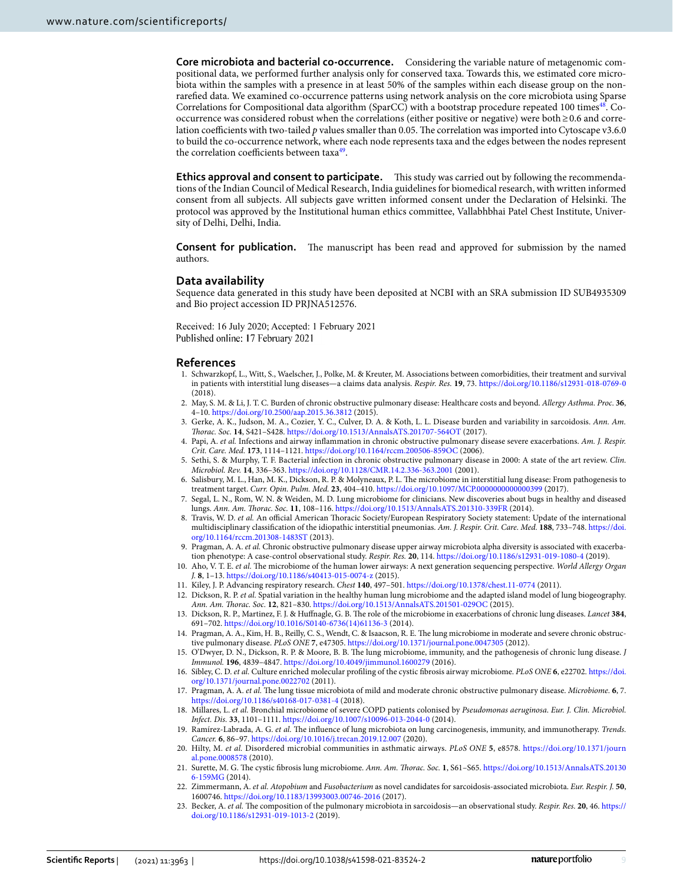**Core microbiota and bacterial co-occurrence.** Considering the variable nature of metagenomic compositional data, we performed further analysis only for conserved taxa. Towards this, we estimated core microbiota within the samples with a presence in at least 50% of the samples within each disease group on the nonrarefied data. We examined co-occurrence patterns using network analysis on the core microbiota using Sparse Correlations for Compositional data algorithm (SparCC) with a bootstrap procedure repeated 100 times<sup>[48](#page-9-24)</sup>. Cooccurrence was considered robust when the correlations (either positive or negative) were both ≥ 0.6 and correlation coefficients with two-tailed p values smaller than 0.05. The correlation was imported into Cytoscape v3.6.0 to build the co-occurrence network, where each node represents taxa and the edges between the nodes represent the correlation coefficients between taxa<sup>[49](#page-9-25)</sup>.

**Ethics approval and consent to participate.** This study was carried out by following the recommendations of the Indian Council of Medical Research, India guidelines for biomedical research, with written informed consent from all subjects. All subjects gave written informed consent under the Declaration of Helsinki. The protocol was approved by the Institutional human ethics committee, Vallabhbhai Patel Chest Institute, University of Delhi, Delhi, India.

**Consent for publication.** The manuscript has been read and approved for submission by the named authors.

### **Data availability**

Sequence data generated in this study have been deposited at NCBI with an SRA submission ID SUB4935309 and Bio project accession ID PRJNA512576.

Received: 16 July 2020; Accepted: 1 February 2021 Published online: 17 February 2021

### **References**

- <span id="page-8-0"></span> 1. Schwarzkopf, L., Witt, S., Waelscher, J., Polke, M. & Kreuter, M. Associations between comorbidities, their treatment and survival in patients with interstitial lung diseases—a claims data analysis. Respir. Res. **19**, 73. [https ://doi.org/10.1186/s1293 1-018-0769-0](https://doi.org/10.1186/s12931-018-0769-0) (2018).
- 2. May, S. M. & Li, J. T. C. Burden of chronic obstructive pulmonary disease: Healthcare costs and beyond. Allergy Asthma. Proc. **36**, 4–10. [https ://doi.org/10.2500/aap.2015.36.3812](https://doi.org/10.2500/aap.2015.36.3812) (2015).
- <span id="page-8-1"></span> 3. Gerke, A. K., Judson, M. A., Cozier, Y. C., Culver, D. A. & Koth, L. L. Disease burden and variability in sarcoidosis. Ann. Am. Thorac. Soc. 14, S421-S428. https://doi.org/10.1513/AnnalsATS.201707-564OT (2017).
- <span id="page-8-2"></span>4. Papi, A. et al. Infections and airway inflammation in chronic obstructive pulmonary disease severe exacerbations. Am. J. Respir. Crit. Care. Med. 173, 1114-1121. https://doi.org/10.1164/rccm.200506-859OC (2006).
- <span id="page-8-3"></span> 5. Sethi, S. & Murphy, T. F. Bacterial infection in chronic obstructive pulmonary disease in 2000: A state of the art review. Clin. Microbiol. Rev. **14**, 336–363. [https ://doi.org/10.1128/CMR.14.2.336-363.2001](https://doi.org/10.1128/CMR.14.2.336-363.2001) (2001).
- <span id="page-8-4"></span> 6. Salisbury, M. L., Han, M. K., Dickson, R. P. & Molyneaux, P. L. The microbiome in interstitial lung disease: From pathogenesis to treatment target. Curr. Opin. Pulm. Med. **23**, 404–410. [https ://doi.org/10.1097/MCP.00000 00000 00039 9](https://doi.org/10.1097/MCP.0000000000000399) (2017).
- <span id="page-8-5"></span> 7. Segal, L. N., Rom, W. N. & Weiden, M. D. Lung microbiome for clinicians. New discoveries about bugs in healthy and diseased lungs. Ann. Am. Thorac. Soc. 11, 108-116. https://doi.org/10.1513/AnnalsATS.201310-339FR (2014).
- <span id="page-8-6"></span>8. Travis, W. D. et al. An official American Thoracic Society/European Respiratory Society statement: Update of the international multidisciplinary classification of the idiopathic interstitial pneumonias. Am. J. Respir. Crit. Care. Med. **188**, 733–748. [https ://doi.](https://doi.org/10.1164/rccm.201308-1483ST) org/10.1164/rccm.201308-1483ST (2013).
- <span id="page-8-7"></span>9. Pragman, A. A. et al. Chronic obstructive pulmonary disease upper airway microbiota alpha diversity is associated with exacerbation phenotype: A case-control observational study. Respir. Res. **20**, 114. [https ://doi.org/10.1186/s1293 1-019-1080-4](https://doi.org/10.1186/s12931-019-1080-4) (2019).
- <span id="page-8-8"></span> 10. Aho, V. T. E. et al. The microbiome of the human lower airways: A next generation sequencing perspective. World Allergy Organ J. **8**, 1–13. [https ://doi.org/10.1186/s4041 3-015-0074-z](https://doi.org/10.1186/s40413-015-0074-z) (2015).
- <span id="page-8-13"></span>11. Kiley, J. P. Advancing respiratory research. Chest **140**, 497–501. [https ://doi.org/10.1378/chest .11-0774](https://doi.org/10.1378/chest.11-0774) (2011).
- 12. Dickson, R. P. et al. Spatial variation in the healthy human lung microbiome and the adapted island model of lung biogeography. Ann. Am. Thorac. Soc. 12, 821-830. https://doi.org/10.1513/AnnalsATS.201501-029OC (2015).
- <span id="page-8-9"></span> 13. Dickson, R. P., Martinez, F. J. & Huffnagle, G. B. The role of the microbiome in exacerbations of chronic lung diseases. Lancet **384**, 691–702. [https ://doi.org/10.1016/S0140 -6736\(14\)61136 -3](https://doi.org/10.1016/S0140-6736(14)61136-3) (2014).
- <span id="page-8-10"></span> 14. Pragman, A. A., Kim, H. B., Reilly, C. S., Wendt, C. & Isaacson, R. E. The lung microbiome in moderate and severe chronic obstructive pulmonary disease. PLoS ONE 7, e47305. https://doi.org/10.1371/journal.pone.0047305 (2012).
- <span id="page-8-11"></span> 15. O'Dwyer, D. N., Dickson, R. P. & Moore, B. B. The lung microbiome, immunity, and the pathogenesis of chronic lung disease. J Immunol. **196**, 4839-4847. https://doi.org/10.4049/jimmunol.1600279 (2016).
- <span id="page-8-12"></span> 16. Sibley, C. D. et al. Culture enriched molecular profiling of the cystic fibrosis airway microbiome. PLoS ONE **6**, e22702. [https ://doi.](https://doi.org/10.1371/journal.pone.0022702) org/10.1371/journal.pone.0022702 (2011).
- <span id="page-8-15"></span> 17. Pragman, A. A. et al. The lung tissue microbiota of mild and moderate chronic obstructive pulmonary disease. Microbiome. **6**, 7. https://doi.org/10.1186/s40168-017-0381-4 (2018)
- <span id="page-8-16"></span>18. Millares, L. et al. Bronchial microbiome of severe COPD patients colonised by Pseudomonas aeruginosa. Eur. J. Clin. Microbiol. Infect. Dis. 33, 1101-1111. https://doi.org/10.1007/s10096-013-2044-0 (2014).
- <span id="page-8-17"></span>19. Ramírez-Labrada, A. G. et al. The influence of lung microbiota on lung carcinogenesis, immunity, and immunotherapy. Trends. Cancer. 6, 86-97. https://doi.org/10.1016/j.trecan.2019.12.007 (2020).
- <span id="page-8-18"></span> 20. Hilty, M. et al. Disordered microbial communities in asthmatic airways. PLoS ONE **5**, e8578. [https ://doi.org/10.1371/journ](https://doi.org/10.1371/journal.pone.0008578) al.pone.0008578 (2010).
- <span id="page-8-19"></span>21. Surette, M. G. The cystic fibrosis lung microbiome. Ann. Am. Thorac. Soc. 1, S61-S65. https://doi.org/10.1513/AnnalsATS.20130 [6-159MG](https://doi.org/10.1513/AnnalsATS.201306-159MG)(2014).
- <span id="page-8-14"></span> 22. Zimmermann, A. et al. Atopobium and Fusobacterium as novel candidates for sarcoidosis-associated microbiota. Eur. Respir. J. **50**, 1600746. [https ://doi.org/10.1183/13993 003.00746 -2016](https://doi.org/10.1183/13993003.00746-2016) (2017).
- <span id="page-8-20"></span>23. Becker, A. et al. The composition of the pulmonary microbiota in sarcoidosis—an observational study. Respir. Res. 20, 46. https:// doi.org/10.1186/s12931-019-1013-2 (2019).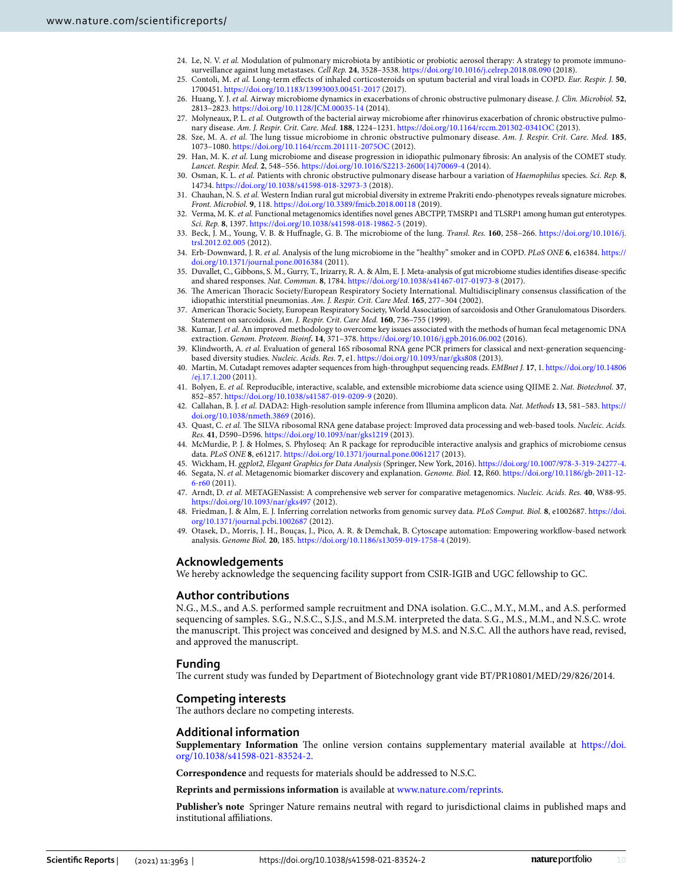- <span id="page-9-0"></span>24. Le, N. V. et al. Modulation of pulmonary microbiota by antibiotic or probiotic aerosol therapy: A strategy to promote immunosurveillance against lung metastases. Cell Rep. **24**, 3528–3538. [https ://doi.org/10.1016/j.celre p.2018.08.090](https://doi.org/10.1016/j.celrep.2018.08.090) (2018).
- <span id="page-9-1"></span> 25. Contoli, M. et al. Long-term effects of inhaled corticosteroids on sputum bacterial and viral loads in COPD. Eur. Respir. J. **50**, 1700451. [https ://doi.org/10.1183/13993 003.00451 -2017](https://doi.org/10.1183/13993003.00451-2017) (2017).
- <span id="page-9-2"></span> 26. Huang, Y. J. et al. Airway microbiome dynamics in exacerbations of chronic obstructive pulmonary disease. J. Clin. Microbiol. **52**, 2813–2823. [https ://doi.org/10.1128/JCM.00035 -14](https://doi.org/10.1128/JCM.00035-14) (2014).
- <span id="page-9-3"></span>27. Molyneaux, P. L. et al. Outgrowth of the bacterial airway microbiome after rhinovirus exacerbation of chronic obstructive pulmonary disease. Am. J. Respir. Crit. Care. Med. 188, 1224-1231. https://doi.org/10.1164/rccm.201302-0341OC (2013).
- <span id="page-9-4"></span> 28. Sze, M. A. et al. The lung tissue microbiome in chronic obstructive pulmonary disease. Am. J. Respir. Crit. Care. Med. **185**, 1073-1080. https://doi.org/10.1164/rccm.201111-2075OC (2012).
- <span id="page-9-5"></span> 29. Han, M. K. et al. Lung microbiome and disease progression in idiopathic pulmonary fibrosis: An analysis of the COMET study. Lancet. Respir. Med. 2, 548-556. https://doi.org/10.1016/S2213-2600(14)70069-4 (2014).
- <span id="page-9-6"></span> 30. Osman, K. L. et al. Patients with chronic obstructive pulmonary disease harbour a variation of Haemophilus species. Sci. Rep. **8**, 14734. https://doi.org/10.1038/s41598-018-32973-3 (2018).
- <span id="page-9-7"></span>31. Chauhan, N. S. et al. Western Indian rural gut microbial diversity in extreme Prakriti endo-phenotypes reveals signature microbes. Front. Microbiol. **9**, 118. [https ://doi.org/10.3389/fmicb .2018.00118](https://doi.org/10.3389/fmicb.2018.00118)(2019).
- <span id="page-9-8"></span> 32. Verma, M. K. et al. Functional metagenomics identifies novel genes ABCTPP, TMSRP1 and TLSRP1 among human gut enterotypes. Sci. Rep. 8, 1397. https://doi.org/10.1038/s41598-018-19862-5 (2019).
- <span id="page-9-9"></span> 33. Beck, J. M., Young, V. B. & Huffnagle, G. B. The microbiome of the lung. Transl. Res. **160**, 258–266. [https ://doi.org/10.1016/j.](https://doi.org/10.1016/j.trsl.2012.02.005) [trsl.2012.02.005](https://doi.org/10.1016/j.trsl.2012.02.005) (2012).
- <span id="page-9-10"></span> 34. Erb-Downward, J. R. et al. Analysis of the lung microbiome in the "healthy" smoker and in COPD. PLoS ONE **6**, e16384. [https ://](https://doi.org/10.1371/journal.pone.0016384) doi.org/10.1371/journal.pone.0016384 (2011).
- <span id="page-9-11"></span> 35. Duvallet, C., Gibbons, S. M., Gurry, T., Irizarry, R. A. & Alm, E. J. Meta-analysis of gut microbiome studies identifies disease-specific and shared responses. Nat. Commun. 8, 1784. https://doi.org/10.1038/s41467-017-01973-8 (2017).
- <span id="page-9-12"></span> 36. The American Thoracic Society/European Respiratory Society International. Multidisciplinary consensus classification of the idiopathic interstitial pneumonias. Am. J. Respir. Crit. Care Med. **165**, 277–304 (2002).
- <span id="page-9-13"></span> 37. American Thoracic Society, European Respiratory Society, World Association of sarcoidosis and Other Granulomatous Disorders. Statement on sarcoidosis. Am. J. Respir. Crit. Care Med. **160**, 736–755 (1999).
- <span id="page-9-14"></span>38. Kumar, J. et al. An improved methodology to overcome key issues associated with the methods of human fecal metagenomic DNA extraction. Genom. Proteom. Bioinf**. 14**, 371–378. [https ://doi.org/10.1016/j.gpb.2016.06.002](https://doi.org/10.1016/j.gpb.2016.06.002) (2016).
- <span id="page-9-15"></span> 39. Klindworth, A. et al. Evaluation of general 16S ribosomal RNA gene PCR primers for classical and next-generation sequencingbased diversity studies. Nucleic. Acids. Res. 7, e1. https://doi.org/10.1093/nar/gks808 (2013).
- <span id="page-9-16"></span> 40. Martin, M. Cutadapt removes adapter sequences from high-throughput sequencing reads. EMBnet J. **17**, 1. [https ://doi.org/10.14806](https://doi.org/10.14806/ej.17.1.200) [/ej.17.1.200](https://doi.org/10.14806/ej.17.1.200) (2011).
- <span id="page-9-17"></span> 41. Bolyen, E. et al. Reproducible, interactive, scalable, and extensible microbiome data science using QIIME 2. Nat. Biotechnol. **37**, 852-857. https://doi.org/10.1038/s41587-019-0209-9 (2020).
- <span id="page-9-18"></span> 42. Callahan, B. J. et al. DADA2: High-resolution sample inference from Illumina amplicon data. Nat. Methods **13**, 581–583. [https ://](https://doi.org/10.1038/nmeth.3869) doi.org/10.1038/nmeth.3869 (2016).
- <span id="page-9-19"></span>43. Quast, C. et al. The SILVA ribosomal RNA gene database project: Improved data processing and web-based tools. Nucleic. Acids. Res. **41**, D590–D596. [https ://doi.org/10.1093/nar/gks12 19](https://doi.org/10.1093/nar/gks1219) (2013).
- <span id="page-9-20"></span> 44. McMurdie, P. J. & Holmes, S. Phyloseq: An R package for reproducible interactive analysis and graphics of microbiome census data. PLoS ONE 8, e61217. https://doi.org/10.1371/journal.pone.0061217 (2013).
- <span id="page-9-21"></span>45. Wickham, H. ggplot2, Elegant Graphics for Data Analysis (Springer, New York, 2016). https://doi.org/10.1007/978-3-319-24277-4.
- <span id="page-9-22"></span>46. Segata, N. et al. Metagenomic biomarker discovery and explanation. Genome. Biol. 12, R60. https://doi.org/10.1186/gb-2011-12-[6-r60](https://doi.org/10.1186/gb-2011-12-6-r60) (2011).
- <span id="page-9-23"></span> 47. Arndt, D. et al. METAGENassist: A comprehensive web server for comparative metagenomics. Nucleic. Acids. Res. **40**, W88-95. https://doi.org/10.1093/nar/gks497 (2012).
- <span id="page-9-24"></span> 48. Friedman, J. & Alm, E. J. Inferring correlation networks from genomic survey data. PLoS Comput. Biol. **8**, e1002687. [https ://doi.](https://doi.org/10.1371/journal.pcbi.1002687) org/10.1371/journal.pcbi.1002687 (2012).
- <span id="page-9-25"></span> 49. Otasek, D., Morris, J. H., Bouças, J., Pico, A. R. & Demchak, B. Cytoscape automation: Empowering workflow-based network analysis. Genome Biol. 20, 185. https://doi.org/10.1186/s13059-019-1758-4 (2019).

# **Acknowledgements**

We hereby acknowledge the sequencing facility support from CSIR-IGIB and UGC fellowship to GC.

# **Author contributions**

N.G., M.S., and A.S. performed sample recruitment and DNA isolation. G.C., M.Y., M.M., and A.S. performed sequencing of samples. S.G., N.S.C., S.J.S., and M.S.M. interpreted the data. S.G., M.S., M.M., and N.S.C. wrote the manuscript. This project was conceived and designed by M.S. and N.S.C. All the authors have read, revised, and approved the manuscript.

# **Funding**

The current study was funded by Department of Biotechnology grant vide BT/PR10801/MED/29/826/2014.

# **Competing interests**

The authors declare no competing interests.

# **Additional information**

**Supplementary Information** The online version contains supplementary material available at https://doi. org/10.1038/s41598-021-83524-2.

**Correspondence** and requests for materials should be addressed to N.S.C.

**Reprints and permissions information** is available at [www.nature.com/reprints.](www.nature.com/reprints)

**Publisher's note** Springer Nature remains neutral with regard to jurisdictional claims in published maps and institutional affiliations.